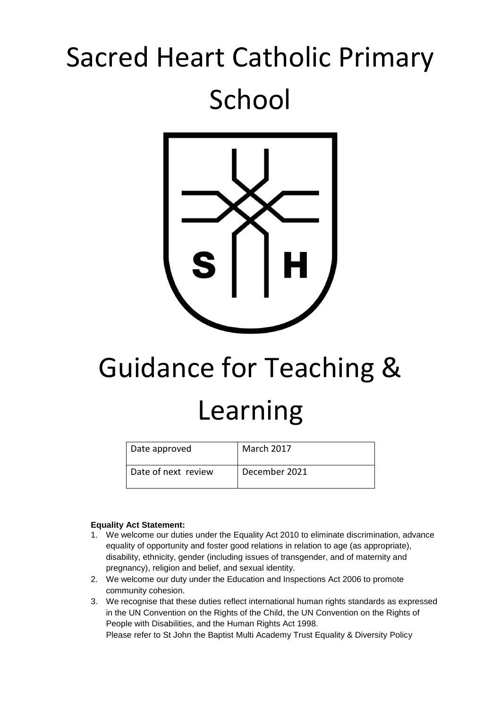# Sacred Heart Catholic Primary School



# Guidance for Teaching & Learning

| Date approved       | <b>March 2017</b> |
|---------------------|-------------------|
| Date of next review | December 2021     |

## **Equality Act Statement:**

- 1. We welcome our duties under the Equality Act 2010 to eliminate discrimination, advance equality of opportunity and foster good relations in relation to age (as appropriate), disability, ethnicity, gender (including issues of transgender, and of maternity and pregnancy), religion and belief, and sexual identity.
- 2. We welcome our duty under the Education and Inspections Act 2006 to promote community cohesion.
- 3. We recognise that these duties reflect international human rights standards as expressed in the UN Convention on the Rights of the Child, the UN Convention on the Rights of People with Disabilities, and the Human Rights Act 1998. Please refer to St John the Baptist Multi Academy Trust Equality & Diversity Policy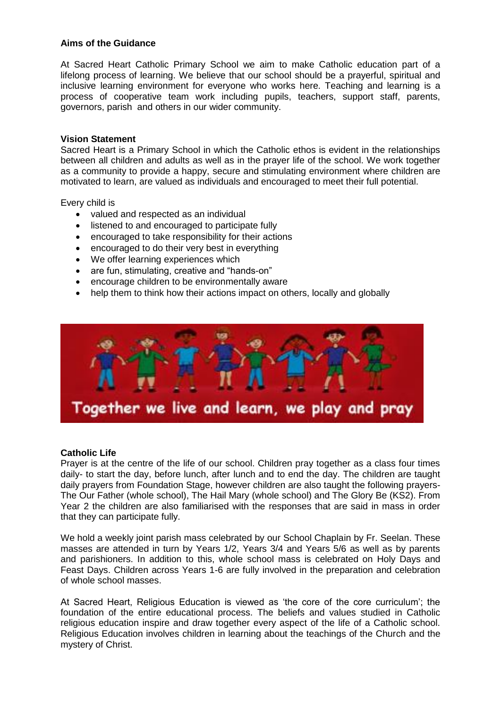# **Aims of the Guidance**

At Sacred Heart Catholic Primary School we aim to make Catholic education part of a lifelong process of learning. We believe that our school should be a prayerful, spiritual and inclusive learning environment for everyone who works here. Teaching and learning is a process of cooperative team work including pupils, teachers, support staff, parents, governors, parish and others in our wider community.

# **Vision Statement**

Sacred Heart is a Primary School in which the Catholic ethos is evident in the relationships between all children and adults as well as in the prayer life of the school. We work together as a community to provide a happy, secure and stimulating environment where children are motivated to learn, are valued as individuals and encouraged to meet their full potential.

Every child is

- valued and respected as an individual
- listened to and encouraged to participate fully
- encouraged to take responsibility for their actions
- encouraged to do their very best in everything
- We offer learning experiences which
- are fun, stimulating, creative and "hands-on"
- encourage children to be environmentally aware
- help them to think how their actions impact on others, locally and globally



## **Catholic Life**

Prayer is at the centre of the life of our school. Children pray together as a class four times daily- to start the day, before lunch, after lunch and to end the day. The children are taught daily prayers from Foundation Stage, however children are also taught the following prayers-The Our Father (whole school), The Hail Mary (whole school) and The Glory Be (KS2). From Year 2 the children are also familiarised with the responses that are said in mass in order that they can participate fully.

We hold a weekly joint parish mass celebrated by our School Chaplain by Fr. Seelan. These masses are attended in turn by Years 1/2, Years 3/4 and Years 5/6 as well as by parents and parishioners. In addition to this, whole school mass is celebrated on Holy Days and Feast Days. Children across Years 1-6 are fully involved in the preparation and celebration of whole school masses.

At Sacred Heart, Religious Education is viewed as 'the core of the core curriculum'; the foundation of the entire educational process. The beliefs and values studied in Catholic religious education inspire and draw together every aspect of the life of a Catholic school. Religious Education involves children in learning about the teachings of the Church and the mystery of Christ.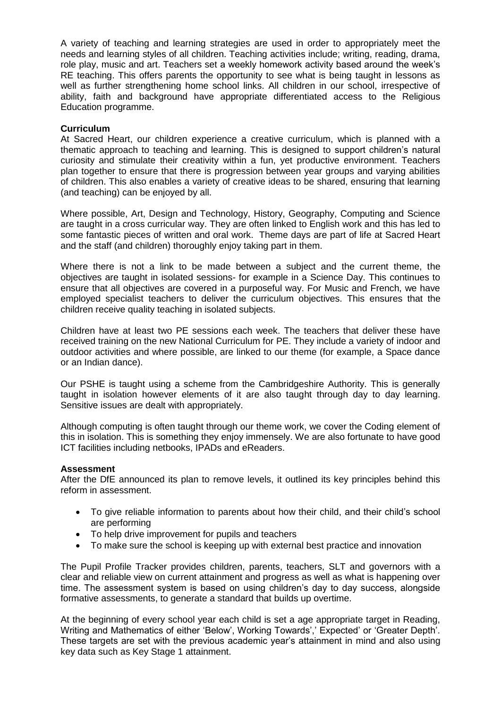A variety of teaching and learning strategies are used in order to appropriately meet the needs and learning styles of all children. Teaching activities include; writing, reading, drama, role play, music and art. Teachers set a weekly homework activity based around the week's RE teaching. This offers parents the opportunity to see what is being taught in lessons as well as further strengthening home school links. All children in our school, irrespective of ability, faith and background have appropriate differentiated access to the Religious Education programme.

# **Curriculum**

At Sacred Heart, our children experience a creative curriculum, which is planned with a thematic approach to teaching and learning. This is designed to support children's natural curiosity and stimulate their creativity within a fun, yet productive environment. Teachers plan together to ensure that there is progression between year groups and varying abilities of children. This also enables a variety of creative ideas to be shared, ensuring that learning (and teaching) can be enjoyed by all.

Where possible, Art, Design and Technology, History, Geography, Computing and Science are taught in a cross curricular way. They are often linked to English work and this has led to some fantastic pieces of written and oral work. Theme days are part of life at Sacred Heart and the staff (and children) thoroughly enjoy taking part in them.

Where there is not a link to be made between a subject and the current theme, the objectives are taught in isolated sessions- for example in a Science Day. This continues to ensure that all objectives are covered in a purposeful way. For Music and French, we have employed specialist teachers to deliver the curriculum objectives. This ensures that the children receive quality teaching in isolated subjects.

Children have at least two PE sessions each week. The teachers that deliver these have received training on the new National Curriculum for PE. They include a variety of indoor and outdoor activities and where possible, are linked to our theme (for example, a Space dance or an Indian dance).

Our PSHE is taught using a scheme from the Cambridgeshire Authority. This is generally taught in isolation however elements of it are also taught through day to day learning. Sensitive issues are dealt with appropriately.

Although computing is often taught through our theme work, we cover the Coding element of this in isolation. This is something they enjoy immensely. We are also fortunate to have good ICT facilities including netbooks, IPADs and eReaders.

## **Assessment**

After the DfE announced its plan to remove levels, it outlined its key principles behind this reform in assessment.

- To give reliable information to parents about how their child, and their child's school are performing
- To help drive improvement for pupils and teachers
- To make sure the school is keeping up with external best practice and innovation

The Pupil Profile Tracker provides children, parents, teachers, SLT and governors with a clear and reliable view on current attainment and progress as well as what is happening over time. The assessment system is based on using children's day to day success, alongside formative assessments, to generate a standard that builds up overtime.

At the beginning of every school year each child is set a age appropriate target in Reading, Writing and Mathematics of either 'Below', Working Towards',' Expected' or 'Greater Depth'. These targets are set with the previous academic year's attainment in mind and also using key data such as Key Stage 1 attainment.